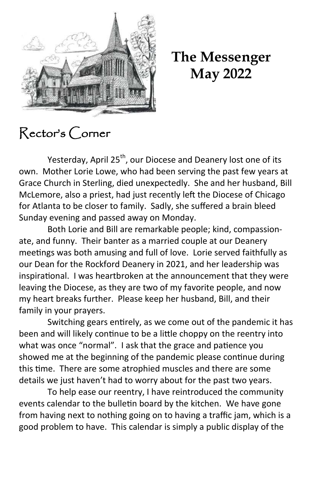

**The Messenger May 2022** 

## Rector's Corner

Yesterday, April 25<sup>th</sup>, our Diocese and Deanery lost one of its own. Mother Lorie Lowe, who had been serving the past few years at Grace Church in Sterling, died unexpectedly. She and her husband, Bill McLemore, also a priest, had just recently left the Diocese of Chicago for Atlanta to be closer to family. Sadly, she suffered a brain bleed Sunday evening and passed away on Monday.

Both Lorie and Bill are remarkable people; kind, compassionate, and funny. Their banter as a married couple at our Deanery meetings was both amusing and full of love. Lorie served faithfully as our Dean for the Rockford Deanery in 2021, and her leadership was inspirational. I was heartbroken at the announcement that they were leaving the Diocese, as they are two of my favorite people, and now my heart breaks further. Please keep her husband, Bill, and their family in your prayers.

Switching gears entirely, as we come out of the pandemic it has been and will likely continue to be a little choppy on the reentry into what was once "normal". I ask that the grace and patience you showed me at the beginning of the pandemic please continue during this time. There are some atrophied muscles and there are some details we just haven't had to worry about for the past two years.

To help ease our reentry, I have reintroduced the community events calendar to the bulletin board by the kitchen. We have gone from having next to nothing going on to having a traffic jam, which is a good problem to have. This calendar is simply a public display of the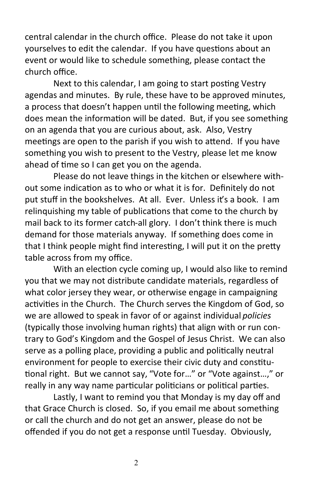central calendar in the church office. Please do not take it upon yourselves to edit the calendar. If you have questions about an event or would like to schedule something, please contact the church office.

Next to this calendar, I am going to start posting Vestry agendas and minutes. By rule, these have to be approved minutes, a process that doesn't happen until the following meeting, which does mean the information will be dated. But, if you see something on an agenda that you are curious about, ask. Also, Vestry meetings are open to the parish if you wish to attend. If you have something you wish to present to the Vestry, please let me know ahead of time so I can get you on the agenda.

Please do not leave things in the kitchen or elsewhere without some indication as to who or what it is for. Definitely do not put stuff in the bookshelves. At all. Ever. Unless it's a book. I am relinquishing my table of publications that come to the church by mail back to its former catch-all glory. I don't think there is much demand for those materials anyway. If something does come in that I think people might find interesting, I will put it on the pretty table across from my office.

With an election cycle coming up, I would also like to remind you that we may not distribute candidate materials, regardless of what color jersey they wear, or otherwise engage in campaigning activities in the Church. The Church serves the Kingdom of God, so we are allowed to speak in favor of or against individual *policies* (typically those involving human rights) that align with or run contrary to God's Kingdom and the Gospel of Jesus Christ. We can also serve as a polling place, providing a public and politically neutral environment for people to exercise their civic duty and constitutional right. But we cannot say, "Vote for…" or "Vote against…," or really in any way name particular politicians or political parties.

Lastly, I want to remind you that Monday is my day off and that Grace Church is closed. So, if you email me about something or call the church and do not get an answer, please do not be offended if you do not get a response until Tuesday. Obviously,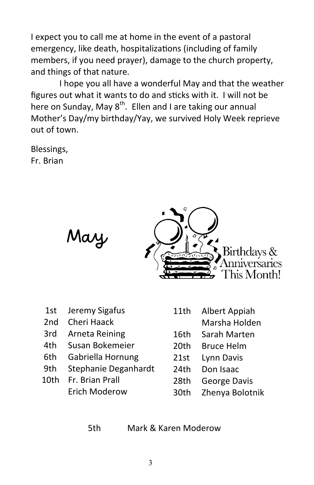I expect you to call me at home in the event of a pastoral emergency, like death, hospitalizations (including of family members, if you need prayer), damage to the church property, and things of that nature.

I hope you all have a wonderful May and that the weather figures out what it wants to do and sticks with it. I will not be here on Sunday, May  $8^{th}$ . Ellen and I are taking our annual Mother's Day/my birthday/Yay, we survived Holy Week reprieve out of town.

Blessings, Fr. Brian



|       | 1st Jeremy Sigafus      |
|-------|-------------------------|
|       | 2nd Cheri Haack         |
|       | 3rd Arneta Reining      |
| 4th - | Susan Bokemeier         |
|       | 6th - Cabriolla Hornung |

- 6th Gabriella Hornung
- 9th Stephanie Deganhardt
- 10th Fr. Brian Prall Erich Moderow

May

- 11th Albert Appiah
	- Marsha Holden
- 16th Sarah Marten
- 20th Bruce Helm
- 21st Lynn Davis
- 24th Don Isaac
- 28th George Davis
- 30th Zhenya Bolotnik

5th Mark & Karen Moderow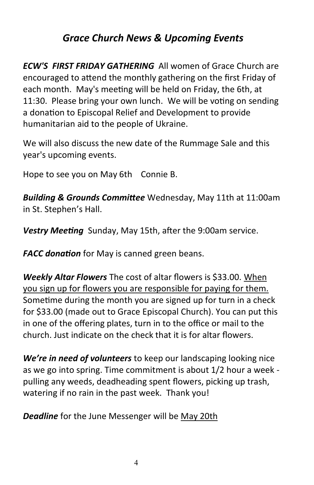## *Grace Church News & Upcoming Events*

*ECW'S FIRST FRIDAY GATHERING* All women of Grace Church are encouraged to attend the monthly gathering on the first Friday of each month. May's meeting will be held on Friday, the 6th, at 11:30. Please bring your own lunch. We will be voting on sending a donation to Episcopal Relief and Development to provide humanitarian aid to the people of Ukraine.

We will also discuss the new date of the Rummage Sale and this year's upcoming events.

Hope to see you on May 6th Connie B.

*Building & Grounds Committee* Wednesday, May 11th at 11:00am in St. Stephen's Hall.

*Vestry Meeting* Sunday, May 15th, after the 9:00am service.

*FACC donation* for May is canned green beans.

*Weekly Altar Flowers* The cost of altar flowers is \$33.00. When you sign up for flowers you are responsible for paying for them. Sometime during the month you are signed up for turn in a check for \$33.00 (made out to Grace Episcopal Church). You can put this in one of the offering plates, turn in to the office or mail to the church. Just indicate on the check that it is for altar flowers.

*We're in need of volunteers* to keep our landscaping looking nice as we go into spring. Time commitment is about 1/2 hour a week pulling any weeds, deadheading spent flowers, picking up trash, watering if no rain in the past week. Thank you!

*Deadline* for the June Messenger will be May 20th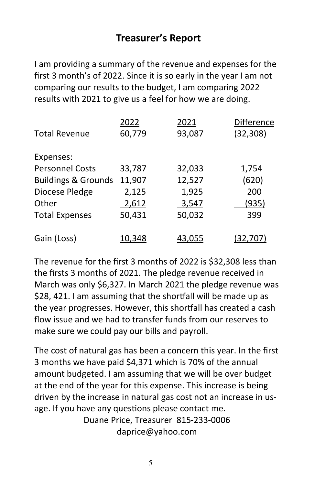## **Treasurer's Report**

I am providing a summary of the revenue and expenses for the first 3 month's of 2022. Since it is so early in the year I am not comparing our results to the budget, I am comparing 2022 results with 2021 to give us a feel for how we are doing.

|                                | 2022   | 2021   | Difference |
|--------------------------------|--------|--------|------------|
| <b>Total Revenue</b>           | 60,779 | 93,087 | (32, 308)  |
| Expenses:                      |        |        |            |
| <b>Personnel Costs</b>         | 33,787 | 32,033 | 1,754      |
| <b>Buildings &amp; Grounds</b> | 11,907 | 12,527 | (620)      |
| Diocese Pledge                 | 2,125  | 1,925  | 200        |
| Other                          | 2,612  | 3,547  | (935)      |
| <b>Total Expenses</b>          | 50,431 | 50,032 | 399        |
| Gain (Loss)                    | 10,348 | 43,055 | (32,707)   |

The revenue for the first 3 months of 2022 is \$32,308 less than the firsts 3 months of 2021. The pledge revenue received in March was only \$6,327. In March 2021 the pledge revenue was \$28, 421. I am assuming that the shortfall will be made up as the year progresses. However, this shortfall has created a cash flow issue and we had to transfer funds from our reserves to make sure we could pay our bills and payroll.

The cost of natural gas has been a concern this year. In the first 3 months we have paid \$4,371 which is 70% of the annual amount budgeted. I am assuming that we will be over budget at the end of the year for this expense. This increase is being driven by the increase in natural gas cost not an increase in usage. If you have any questions please contact me.

> Duane Price, Treasurer 815-233-0006 daprice@yahoo.com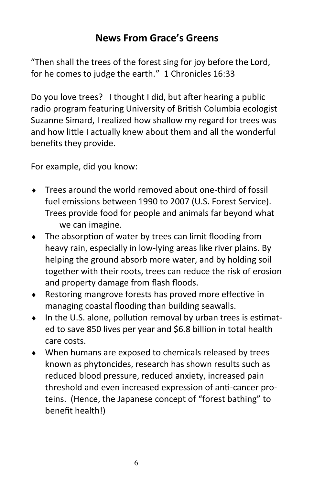## **News From Grace's Greens**

"Then shall the trees of the forest sing for joy before the Lord, for he comes to judge the earth." 1 Chronicles 16:33

Do you love trees? I thought I did, but after hearing a public radio program featuring University of British Columbia ecologist Suzanne Simard, I realized how shallow my regard for trees was and how little I actually knew about them and all the wonderful benefits they provide.

For example, did you know:

- Trees around the world removed about one-third of fossil fuel emissions between 1990 to 2007 (U.S. Forest Service). Trees provide food for people and animals far beyond what we can imagine.
- The absorption of water by trees can limit flooding from heavy rain, especially in low-lying areas like river plains. By helping the ground absorb more water, and by holding soil together with their roots, trees can reduce the risk of erosion and property damage from flash floods.
- Restoring mangrove forests has proved more effective in managing coastal flooding than building seawalls.
- $\bullet$  In the U.S. alone, pollution removal by urban trees is estimated to save 850 lives per year and \$6.8 billion in total health care costs.
- When humans are exposed to chemicals released by trees known as phytoncides, research has shown results such as reduced blood pressure, reduced anxiety, increased pain threshold and even increased expression of anti-cancer proteins. (Hence, the Japanese concept of "forest bathing" to benefit health!)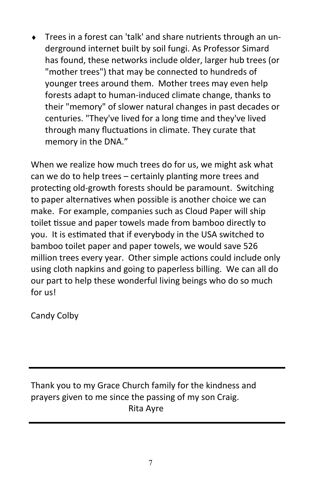Trees in a forest can 'talk' and share nutrients through an underground internet built by soil fungi. As Professor Simard has found, these networks include older, larger hub trees (or "mother trees") that may be connected to hundreds of younger trees around them. Mother trees may even help forests adapt to human-induced climate change, thanks to their "memory" of slower natural changes in past decades or centuries. "They've lived for a long time and they've lived through many fluctuations in climate. They curate that memory in the DNA."

When we realize how much trees do for us, we might ask what can we do to help trees – certainly planting more trees and protecting old-growth forests should be paramount. Switching to paper alternatives when possible is another choice we can make. For example, companies such as Cloud Paper will ship toilet tissue and paper towels made from bamboo directly to you. It is estimated that if everybody in the USA switched to bamboo toilet paper and paper towels, we would save 526 million trees every year. Other simple actions could include only using cloth napkins and going to paperless billing. We can all do our part to help these wonderful living beings who do so much for us!

Candy Colby

Thank you to my Grace Church family for the kindness and prayers given to me since the passing of my son Craig. Rita Ayre